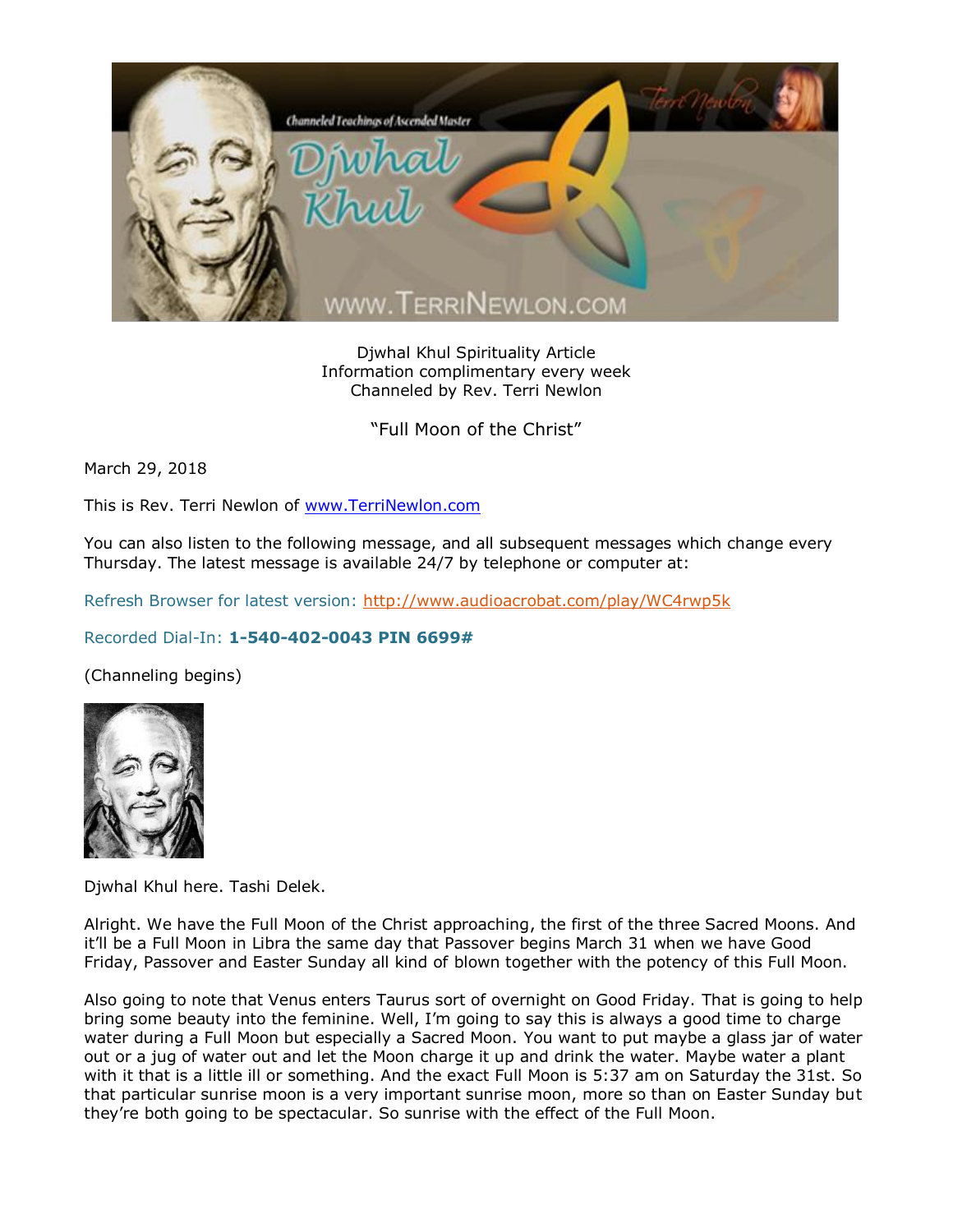

Djwhal Khul Spirituality Article Information complimentary every week Channeled by Rev. Terri Newlon

"Full Moon of the Christ"

March 29, 2018

This is Rev. Terri Newlon of [www.TerriNewlon.com](http://www.terrinewlon.com/)

You can also listen to the following message, and all subsequent messages which change every Thursday. The latest message is available 24/7 by telephone or computer at:

Refresh Browser for latest version:<http://www.audioacrobat.com/play/WC4rwp5k>

## Recorded Dial-In: **1-540-402-0043 PIN 6699#**

(Channeling begins)



Djwhal Khul here. Tashi Delek.

Alright. We have the Full Moon of the Christ approaching, the first of the three Sacred Moons. And it'll be a Full Moon in Libra the same day that Passover begins March 31 when we have Good Friday, Passover and Easter Sunday all kind of blown together with the potency of this Full Moon.

Also going to note that Venus enters Taurus sort of overnight on Good Friday. That is going to help bring some beauty into the feminine. Well, I'm going to say this is always a good time to charge water during a Full Moon but especially a Sacred Moon. You want to put maybe a glass jar of water out or a jug of water out and let the Moon charge it up and drink the water. Maybe water a plant with it that is a little ill or something. And the exact Full Moon is 5:37 am on Saturday the 31st. So that particular sunrise moon is a very important sunrise moon, more so than on Easter Sunday but they're both going to be spectacular. So sunrise with the effect of the Full Moon.